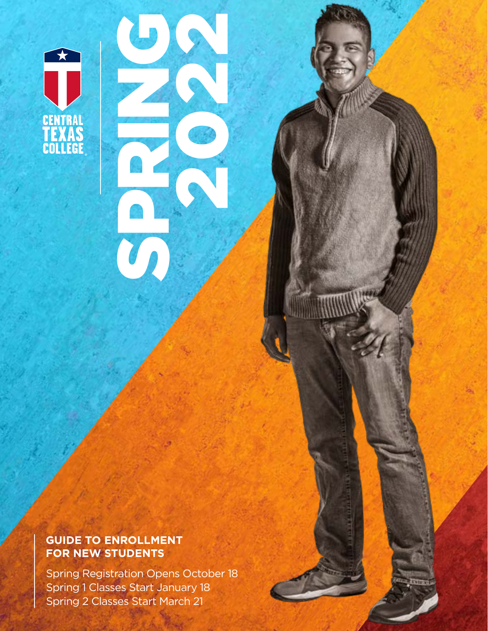

### **GUIDE TO ENROLLMENT FOR NEW STUDENTS**

Spring Registration Opens October 18 Spring 1 Classes Start January 18 Spring 2 Classes Start March 21

CONGRESSION

2022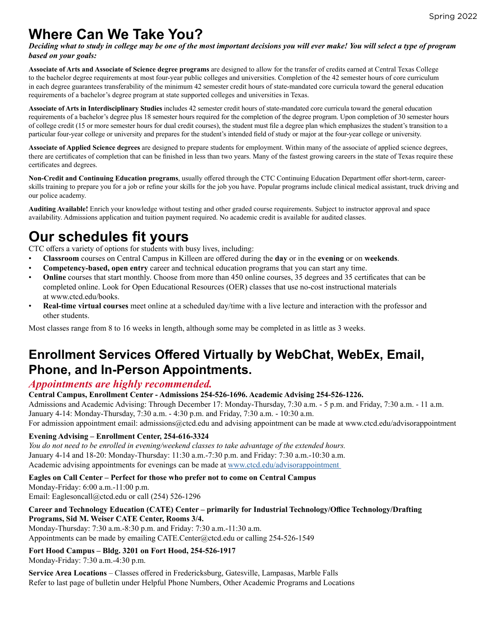# **Where Can We Take You?**

*Deciding what to study in college may be one of the most important decisions you will ever make! You will select a type of program based on your goals:*

**Associate of Arts and Associate of Science degree programs** are designed to allow for the transfer of credits earned at Central Texas College to the bachelor degree requirements at most four-year public colleges and universities. Completion of the 42 semester hours of core curriculum in each degree guarantees transferability of the minimum 42 semester credit hours of state-mandated core curricula toward the general education requirements of a bachelor's degree program at state supported colleges and universities in Texas.

**Associate of Arts in Interdisciplinary Studies** includes 42 semester credit hours of state-mandated core curricula toward the general education requirements of a bachelor's degree plus 18 semester hours required for the completion of the degree program. Upon completion of 30 semester hours of college credit (15 or more semester hours for dual credit courses), the student must file a degree plan which emphasizes the student's transition to a particular four-year college or university and prepares for the student's intended field of study or major at the four-year college or university.

**Associate of Applied Science degrees** are designed to prepare students for employment. Within many of the associate of applied science degrees, there are certificates of completion that can be finished in less than two years. Many of the fastest growing careers in the state of Texas require these certificates and degrees.

**Non-Credit and Continuing Education programs**, usually offered through the CTC Continuing Education Department offer short-term, careerskills training to prepare you for a job or refine your skills for the job you have. Popular programs include clinical medical assistant, truck driving and our police academy.

**Auditing Available!** Enrich your knowledge without testing and other graded course requirements. Subject to instructor approval and space availability. Admissions application and tuition payment required. No academic credit is available for audited classes.

# **Our schedules fit yours**

CTC offers a variety of options for students with busy lives, including:

- **Classroom** courses on Central Campus in Killeen are offered during the **day** or in the **evening** or on **weekends**.
- **Competency-based, open entry** career and technical education programs that you can start any time.
- **Online** courses that start monthly. Choose from more than 450 online courses, 35 degrees and 35 certificates that can be completed online. Look for Open Educational Resources (OER) classes that use no-cost instructional materials at www.ctcd.edu/books.
- **Real-time virtual courses** meet online at a scheduled day/time with a live lecture and interaction with the professor and other students.

Most classes range from 8 to 16 weeks in length, although some may be completed in as little as 3 weeks.

# **Enrollment Services Offered Virtually by WebChat, WebEx, Email, Phone, and In-Person Appointments.**

### *Appointments are highly recommended.*

#### **Central Campus, Enrollment Center - Admissions 254-526-1696. Academic Advising 254-526-1226.**

Admissions and Academic Advising: Through December 17: Monday-Thursday, 7:30 a.m. - 5 p.m. and Friday, 7:30 a.m. - 11 a.m. January 4-14: Monday-Thursday, 7:30 a.m. - 4:30 p.m. and Friday, 7:30 a.m. - 10:30 a.m.

For admission appointment email: admissions@ctcd.edu and advising appointment can be made at www.ctcd.edu/advisorappointment

#### **Evening Advising – Enrollment Center, 254-616-3324**

*You do not need to be enrolled in evening/weekend classes to take advantage of the extended hours.*  January 4-14 and 18-20: Monday-Thursday: 11:30 a.m.-7:30 p.m. and Friday: 7:30 a.m.-10:30 a.m. Academic advising appointments for evenings can be made at [www.ctcd.edu/advisorappointment](http://www.ctcd.edu/advisorappointment) 

**Eagles on Call Center – Perfect for those who prefer not to come on Central Campus**

Monday-Friday: 6:00 a.m.-11:00 p.m. Email: Eaglesoncall@ctcd.edu or call (254) 526-1296

#### **Career and Technology Education (CATE) Center – primarily for Industrial Technology/Office Technology/Drafting Programs, Sid M. Weiser CATE Center, Rooms 3/4.**

Monday-Thursday: 7:30 a.m.-8:30 p.m. and Friday: 7:30 a.m.-11:30 a.m. Appointments can be made by emailing CATE.Center@ctcd.edu or calling 254-526-1549

**Fort Hood Campus – Bldg. 3201 on Fort Hood, 254-526-1917** Monday-Friday: 7:30 a.m.-4:30 p.m.

**Service Area Locations** – Classes offered in Fredericksburg, Gatesville, Lampasas, Marble Falls Refer to last page of bulletin under Helpful Phone Numbers, Other Academic Programs and Locations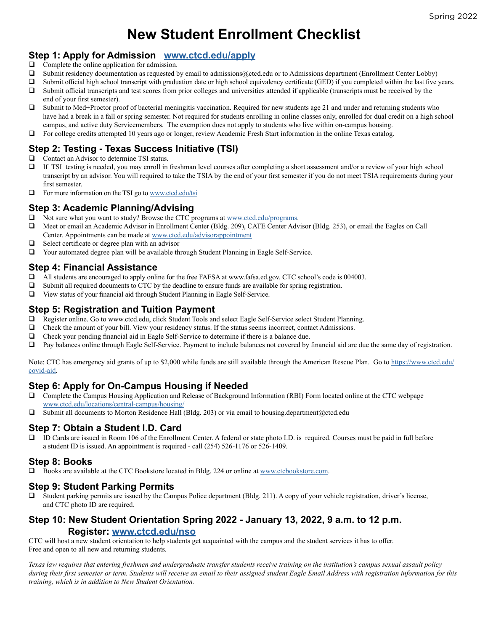# **New Student Enrollment Checklist**

### **Step 1: Apply for Admission <www.ctcd.edu/apply>**

- $\Box$  Complete the online application for admission.
- $\Box$  Submit residency documentation as requested by email to admissions@ctcd.edu or to Admissions department (Enrollment Center Lobby)
- $\Box$  Submit official high school transcript with graduation date or high school equivalency certificate (GED) if you completed within the last five years.
- $\Box$  Submit official transcripts and test scores from prior colleges and universities attended if applicable (transcripts must be received by the end of your first semester).
- $\Box$  Submit to Med+Proctor proof of bacterial meningitis vaccination. Required for new students age 21 and under and returning students who have had a break in a fall or spring semester. Not required for students enrolling in online classes only, enrolled for dual credit on a high school campus, and active duty Servicemembers. The exemption does not apply to students who live within on-campus housing.
- $\Box$  For college credits attempted 10 years ago or longer, review Academic Fresh Start information in the online Texas catalog.

### **Step 2: Testing - Texas Success Initiative (TSI)**

- $\Box$  Contact an Advisor to determine TSI status.
- □ If TSI testing is needed, you may enroll in freshman level courses after completing a short assessment and/or a review of your high school transcript by an advisor. You will required to take the TSIA by the end of your first semester if you do not meet TSIA requirements during your first semester.
- $\Box$  For more information on the TSI go to [www.ctcd.edu/t](www.ctcd.edu/students/current-ctc-students/testing-services/tsi-texas-success-initiative/)si

### **Step 3: Academic Planning/Advising**

- $\Box$  Not sure what you want to study? Browse the CTC programs at [www.ctcd.edu/programs.](www.ctcd.edu/programs)
- q Meet or email an Academic Advisor in Enrollment Center (Bldg. 209), CATE Center Advisor (Bldg. 253), or email the Eagles on Call Center. Appointments can be made at <www.ctcd.edu/advisorappointment>
- $\Box$  Select certificate or degree plan with an advisor
- $\Box$  Your automated degree plan will be available through Student Planning in Eagle Self-Service.

### **Step 4: Financial Assistance**

- $\Box$  All students are encouraged to apply online for the free FAFSA at www.fafsa.ed.gov. CTC school's code is 004003.
- $\Box$  Submit all required documents to CTC by the deadline to ensure funds are available for spring registration.
- $\Box$  View status of your financial aid through Student Planning in Eagle Self-Service.

### **Step 5: Registration and Tuition Payment**

- **Q** Register online. Go to www.ctcd.edu, click Student Tools and select Eagle Self-Service select Student Planning.
- $\Box$  Check the amount of your bill. View your residency status. If the status seems incorrect, contact Admissions.
- $\Box$  Check your pending financial aid in Eagle Self-Service to determine if there is a balance due.
- $\Box$  Pay balances online through Eagle Self-Service. Payment to include balances not covered by financial aid are due the same day of registration.

Note: CTC has emergency aid grants of up to \$2,000 while funds are still available through the American Rescue Plan. Go to [https://www.ctcd.edu/](https://www.ctcd.edu/covid-aid) [covid-aid.](https://www.ctcd.edu/covid-aid)

### **Step 6: Apply for On-Campus Housing if Needed**

- $\Box$  Complete the Campus Housing Application and Release of Background Information (RBI) Form located online at the CTC webpage www.ctcd.edu/locations/central-campus/housing[/](www.ctcd.edu/locations/central-campus/housing/)
- $\Box$  Submit all documents to Morton Residence Hall (Bldg. 203) or via email to housing.department@ctcd.edu

### **Step 7: Obtain a Student I.D. Card**

ID Cards are issued in Room 106 of the Enrollment Center. A federal or state photo I.D. is required. Courses must be paid in full before a student ID is issued. An appointment is required - call (254) 526-1176 or 526-1409.

#### **Step 8: Books**

 $\Box$  Books are available at the CTC Bookstore located in Bldg. 224 or online at [www.ctcbookstore.com.](http://www.ctcbookstore.com)

#### **Step 9: Student Parking Permits**

 $\Box$  Student parking permits are issued by the Campus Police department (Bldg. 211). A copy of your vehicle registration, driver's license, and CTC photo ID are required.

### **Step 10: New Student Orientation Spring 2022 - January 13, 2022, 9 a.m. to 12 p.m. Register: [www.ctcd.edu/nso](http://www.ctcd.edu/nso)**

CTC will host a new student orientation to help students get acquainted with the campus and the student services it has to offer. Free and open to all new and returning students.

*Texas law requires that entering freshmen and undergraduate transfer students receive training on the institution's campus sexual assault policy during their first semester or term. Students will receive an email to their assigned student Eagle Email Address with registration information for this training, which is in addition to New Student Orientation.*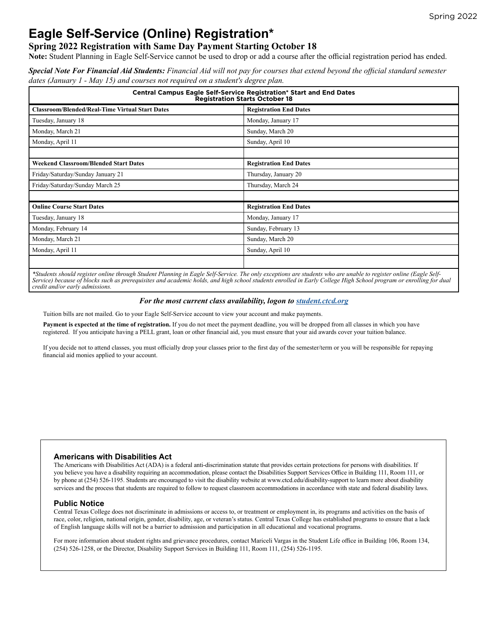# **Eagle Self-Service (Online) Registration\***

#### **Spring 2022 Registration with Same Day Payment Starting October 18**

**Note:** Student Planning in Eagle Self-Service cannot be used to drop or add a course after the official registration period has ended.

*Special Note For Financial Aid Students: Financial Aid will not pay for courses that extend beyond the official standard semester dates (January 1 - May 15) and courses not required on a student's degree plan.*

| <b>Central Campus Eagle Self-Service Registration* Start and End Dates</b><br><b>Registration Starts October 18</b> |                               |  |  |
|---------------------------------------------------------------------------------------------------------------------|-------------------------------|--|--|
| <b>Classroom/Blended/Real-Time Virtual Start Dates</b>                                                              | <b>Registration End Dates</b> |  |  |
| Tuesday, January 18                                                                                                 | Monday, January 17            |  |  |
| Monday, March 21                                                                                                    | Sunday, March 20              |  |  |
| Monday, April 11                                                                                                    | Sunday, April 10              |  |  |
|                                                                                                                     |                               |  |  |
| <b>Weekend Classroom/Blended Start Dates</b>                                                                        | <b>Registration End Dates</b> |  |  |
| Friday/Saturday/Sunday January 21                                                                                   | Thursday, January 20          |  |  |
| Friday/Saturday/Sunday March 25                                                                                     | Thursday, March 24            |  |  |
|                                                                                                                     |                               |  |  |
| <b>Online Course Start Dates</b>                                                                                    | <b>Registration End Dates</b> |  |  |
| Tuesday, January 18                                                                                                 | Monday, January 17            |  |  |
| Monday, February 14                                                                                                 | Sunday, February 13           |  |  |
| Monday, March 21                                                                                                    | Sunday, March 20              |  |  |
| Monday, April 11                                                                                                    | Sunday, April 10              |  |  |
|                                                                                                                     |                               |  |  |

*\*Students should register online through Student Planning in Eagle Self-Service. The only exceptions are students who are unable to register online (Eagle Self-Service) because of blocks such as prerequisites and academic holds, and high school students enrolled in Early College High School program or enrolling for dual credit and/or early admissions.*

#### *For the most current class availability, logon to [student.ctcd.org](http://student.ctcd.org)*

Tuition bills are not mailed. Go to your Eagle Self-Service account to view your account and make payments.

**Payment is expected at the time of registration.** If you do not meet the payment deadline, you will be dropped from all classes in which you have registered. If you anticipate having a PELL grant, loan or other financial aid, you must ensure that your aid awards cover your tuition balance.

If you decide not to attend classes, you must officially drop your classes prior to the first day of the semester/term or you will be responsible for repaying financial aid monies applied to your account.

#### **Americans with Disabilities Act**

The Americans with Disabilities Act (ADA) is a federal anti-discrimination statute that provides certain protections for persons with disabilities. If you believe you have a disability requiring an accommodation, please contact the Disabilities Support Services Office in Building 111, Room 111, or by phone at (254) 526-1195. Students are encouraged to visit the disability website at www.ctcd.edu/disability-support to learn more about disability services and the process that students are required to follow to request classroom accommodations in accordance with state and federal disability laws.

#### **Public Notice**

Central Texas College does not discriminate in admissions or access to, or treatment or employment in, its programs and activities on the basis of race, color, religion, national origin, gender, disability, age, or veteran's status. Central Texas College has established programs to ensure that a lack of English language skills will not be a barrier to admission and participation in all educational and vocational programs.

For more information about student rights and grievance procedures, contact Mariceli Vargas in the Student Life office in Building 106, Room 134, (254) 526-1258, or the Director, Disability Support Services in Building 111, Room 111, (254) 526-1195.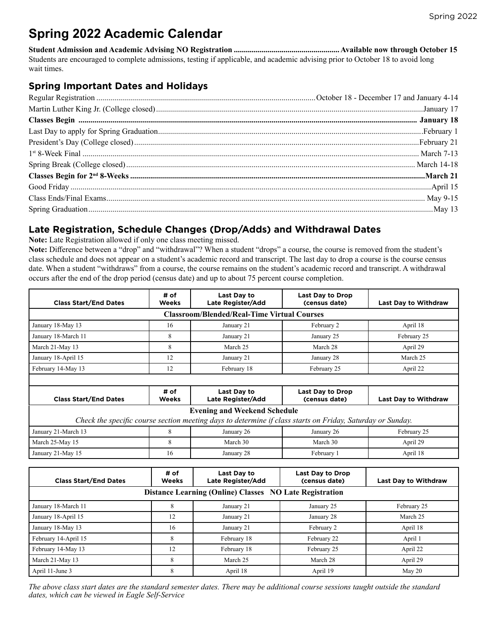# **Spring 2022 Academic Calendar**

**Student Admission and Academic Advising NO Registration .....................................................Available now through October 15** Students are encouraged to complete admissions, testing if applicable, and academic advising prior to October 18 to avoid long wait times.

### **Spring Important Dates and Holidays**

### **Late Registration, Schedule Changes (Drop/Adds) and Withdrawal Dates**

**Note:** Late Registration allowed if only one class meeting missed.

**Note:** Difference between a "drop" and "withdrawal"? When a student "drops" a course, the course is removed from the student's class schedule and does not appear on a student's academic record and transcript. The last day to drop a course is the course census date. When a student "withdraws" from a course, the course remains on the student's academic record and transcript. A withdrawal occurs after the end of the drop period (census date) and up to about 75 percent course completion.

| <b>Class Start/End Dates</b> | # of<br><b>Weeks</b> | Last Day to<br>Late Register/Add                                                                                                                  | <b>Last Day to Drop</b><br>(census date) | <b>Last Day to Withdraw</b> |
|------------------------------|----------------------|---------------------------------------------------------------------------------------------------------------------------------------------------|------------------------------------------|-----------------------------|
|                              |                      | <b>Classroom/Blended/Real-Time Virtual Courses</b>                                                                                                |                                          |                             |
| January 18-May 13            | 16                   | January 21                                                                                                                                        | February 2                               | April 18                    |
| January 18-March 11          | 8                    | January 21                                                                                                                                        | January 25                               | February 25                 |
| March 21-May 13              | 8                    | March 25                                                                                                                                          | March 28                                 | April 29                    |
| January 18-April 15          | 12                   | January 21                                                                                                                                        | January 28                               | March 25                    |
| February 14-May 13           | 12                   | February 18                                                                                                                                       | February 25                              | April 22                    |
|                              |                      |                                                                                                                                                   |                                          |                             |
| <b>Class Start/End Dates</b> | # of<br>Weeks        | Last Day to<br><b>Late Register/Add</b>                                                                                                           | <b>Last Day to Drop</b><br>(census date) | <b>Last Day to Withdraw</b> |
|                              |                      | <b>Evening and Weekend Schedule</b><br>Check the specific course section meeting days to determine if class starts on Friday, Saturday or Sunday. |                                          |                             |
| January 21-March 13          | 8                    | January 26                                                                                                                                        | January 26                               | February 25                 |
| March 25-May 15              | 8                    | March 30                                                                                                                                          | March 30                                 | April 29                    |
| January 21-May 15            | 16                   | January 28                                                                                                                                        | February 1                               | April 18                    |
|                              |                      |                                                                                                                                                   |                                          |                             |
| <b>Class Start/End Dates</b> | # of<br>Weeks        | Last Day to<br><b>Late Register/Add</b>                                                                                                           | <b>Last Day to Drop</b><br>(census date) | <b>Last Day to Withdraw</b> |
|                              |                      | Distance Learning (Online) Classes NO Late Registration                                                                                           |                                          |                             |
| January 18-March 11          | 8                    | January 21                                                                                                                                        | January 25                               | February 25                 |
| January 18-April 15          | 12                   | January 21                                                                                                                                        | January 28                               | March 25                    |
| January 18-May 13            | 16                   | January 21                                                                                                                                        | February 2                               | April 18                    |
| February 14-April 15         | 8                    | February 18                                                                                                                                       | February 22                              | April 1                     |
| February 14-May 13           | 12                   | February 18                                                                                                                                       | February 25                              | April 22                    |
| March 21-May 13              | 8                    | March 25                                                                                                                                          | March 28                                 | April 29                    |

*The above class start dates are the standard semester dates. There may be additional course sessions taught outside the standard dates, which can be viewed in Eagle Self-Service*

April 11-June 3 May 20 **8** April 18 April 18 April 19 May 20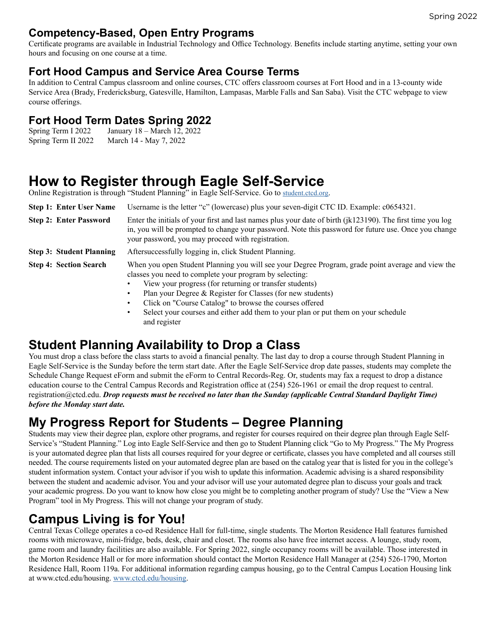### **Competency-Based, Open Entry Programs**

Certificate programs are available in Industrial Technology and Office Technology. Benefits include starting anytime, setting your own hours and focusing on one course at a time.

### **Fort Hood Campus and Service Area Course Terms**

In addition to Central Campus classroom and online courses, CTC offers classroom courses at Fort Hood and in a 13-county wide Service Area (Brady, Fredericksburg, Gatesville, Hamilton, Lampasas, Marble Falls and San Saba). Visit the CTC webpage to view course offerings.

# **Fort Hood Term Dates Spring 2022**<br>Spring Term I 2022 January 18 – March 12, 2022

January 18 – March 12, 2022 Spring Term II 2022 March 14 - May 7, 2022

# **How to Register through Eagle Self-Service**

Online Registration is through "Student Planning" in Eagle Self-Service. Go to [student.ctcd.org](http://student.ctcd.org).

| <b>Step 1: Enter User Name</b>  | Username is the letter "c" (lowercase) plus your seven-digit CTC ID. Example: c0654321.                                                                                                                                                                                                                                                                       |  |  |  |  |  |
|---------------------------------|---------------------------------------------------------------------------------------------------------------------------------------------------------------------------------------------------------------------------------------------------------------------------------------------------------------------------------------------------------------|--|--|--|--|--|
| <b>Step 2: Enter Password</b>   | Enter the initials of your first and last names plus your date of birth $(ik123190)$ . The first time you log<br>in, you will be prompted to change your password. Note this password for future use. Once you change<br>your password, you may proceed with registration.                                                                                    |  |  |  |  |  |
| <b>Step 3: Student Planning</b> | Aftersuccessfully logging in, click Student Planning.                                                                                                                                                                                                                                                                                                         |  |  |  |  |  |
| <b>Step 4: Section Search</b>   | When you open Student Planning you will see your Degree Program, grade point average and view the<br>classes you need to complete your program by selecting:<br>View your progress (for returning or transfer students)<br>$\bullet$<br>Plan your Degree & Register for Classes (for new students)<br>Click on "Course Catalog" to browse the courses offered |  |  |  |  |  |

Select your courses and either add them to your plan or put them on your schedule and register

# **Student Planning Availability to Drop a Class**

You must drop a class before the class starts to avoid a financial penalty. The last day to drop a course through Student Planning in Eagle Self-Service is the Sunday before the term start date. After the Eagle Self-Service drop date passes, students may complete the Schedule Change Request eForm and submit the eForm to Central Records-Reg. Or, students may fax a request to drop a distance education course to the Central Campus Records and Registration office at (254) 526-1961 or email the drop request to central. registration@ctcd.edu. *Drop requests must be received no later than the Sunday (applicable Central Standard Daylight Time) before the Monday start date.*

# **My Progress Report for Students – Degree Planning**

Students may view their degree plan, explore other programs, and register for courses required on their degree plan through Eagle Self-Service's "Student Planning." Log into Eagle Self-Service and then go to Student Planning click "Go to My Progress." The My Progress is your automated degree plan that lists all courses required for your degree or certificate, classes you have completed and all courses still needed. The course requirements listed on your automated degree plan are based on the catalog year that is listed for you in the college's student information system. Contact your advisor if you wish to update this information. Academic advising is a shared responsibility between the student and academic advisor. You and your advisor will use your automated degree plan to discuss your goals and track your academic progress. Do you want to know how close you might be to completing another program of study? Use the "View a New Program" tool in My Progress. This will not change your program of study.

### **Campus Living is for You!**

Central Texas College operates a co-ed Residence Hall for full-time, single students. The Morton Residence Hall features furnished rooms with microwave, mini-fridge, beds, desk, chair and closet. The rooms also have free internet access. A lounge, study room, game room and laundry facilities are also available. For Spring 2022, single occupancy rooms will be available. Those interested in the Morton Residence Hall or for more information should contact the Morton Residence Hall Manager at (254) 526-1790, Morton Residence Hall, Room 119a. For additional information regarding campus housing, go to the Central Campus Location Housing link at www.ctcd.edu/housing. [www.ctcd.edu/housing.](http://www.ctcd.edu/housing)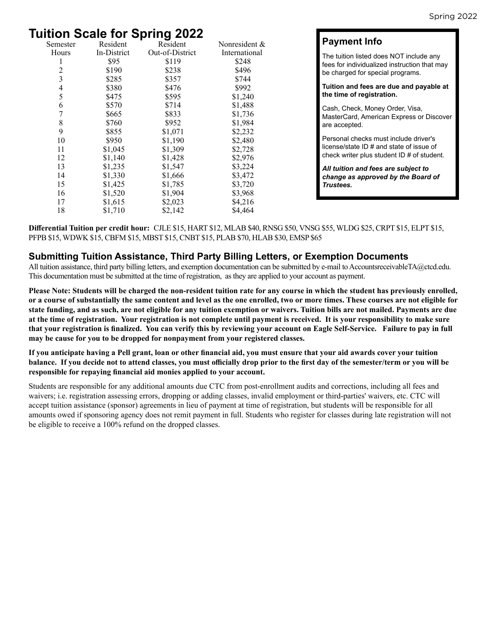# **Tuition Scale for Spring 2022**

| Resident    | Resident | Nonresident &   |
|-------------|----------|-----------------|
| In-District |          | International   |
| \$95        | \$119    | \$248           |
| \$190       | \$238    | \$496           |
| \$285       | \$357    | \$744           |
| \$380       | \$476    | \$992           |
| \$475       | \$595    | \$1,240         |
| \$570       | \$714    | \$1,488         |
| \$665       | \$833    | \$1,736         |
| \$760       | \$952    | \$1,984         |
| \$855       | \$1,071  | \$2,232         |
| \$950       | \$1,190  | \$2,480         |
| \$1,045     | \$1,309  | \$2,728         |
| \$1,140     | \$1,428  | \$2,976         |
| \$1,235     | \$1,547  | \$3,224         |
| \$1,330     | \$1,666  | \$3,472         |
| \$1,425     | \$1,785  | \$3,720         |
| \$1,520     | \$1,904  | \$3,968         |
| \$1,615     | \$2,023  | \$4,216         |
| \$1,710     | \$2,142  | \$4,464         |
|             |          | Out-of-District |

### **Payment Info**

The tuition listed does NOT include any fees for individualized instruction that may be charged for special programs.

**Tuition and fees are due and payable at the time of registration.** 

Cash, Check, Money Order, Visa, MasterCard, American Express or Discover are accepted.

Personal checks must include driver's license/state ID # and state of issue of check writer plus student ID # of student.

*All tuition and fees are subject to change as approved by the Board of Trustees.*

**Differential Tuition per credit hour:** CJLE \$15, HART \$12, MLAB \$40, RNSG \$50, VNSG \$55, WLDG \$25, CRPT \$15, ELPT \$15, PFPB \$15, WDWK \$15, CBFM \$15, MBST \$15, CNBT \$15, PLAB \$70, HLAB \$30, EMSP \$65

### **Submitting Tuition Assistance, Third Party Billing Letters, or Exemption Documents**

All tuition assistance, third party billing letters, and exemption documentation can be submitted by e-mail to AccountsreceivableTA@ctcd.edu. This documentation must be submitted at the time of registration, as they are applied to your account as payment.

**Please Note: Students will be charged the non-resident tuition rate for any course in which the student has previously enrolled, or a course of substantially the same content and level as the one enrolled, two or more times. These courses are not eligible for state funding, and as such, are not eligible for any tuition exemption or waivers. Tuition bills are not mailed. Payments are due at the time of registration. Your registration is not complete until payment is received. It is your responsibility to make sure that your registration is finalized. You can verify this by reviewing your account on Eagle Self-Service. Failure to pay in full may be cause for you to be dropped for nonpayment from your registered classes.**

**If you anticipate having a Pell grant, loan or other financial aid, you must ensure that your aid awards cover your tuition balance. If you decide not to attend classes, you must officially drop prior to the first day of the semester/term or you will be responsible for repaying financial aid monies applied to your account.**

Students are responsible for any additional amounts due CTC from post-enrollment audits and corrections, including all fees and waivers; i.e. registration assessing errors, dropping or adding classes, invalid employment or third-parties' waivers, etc. CTC will accept tuition assistance (sponsor) agreements in lieu of payment at time of registration, but students will be responsible for all amounts owed if sponsoring agency does not remit payment in full. Students who register for classes during late registration will not be eligible to receive a 100% refund on the dropped classes.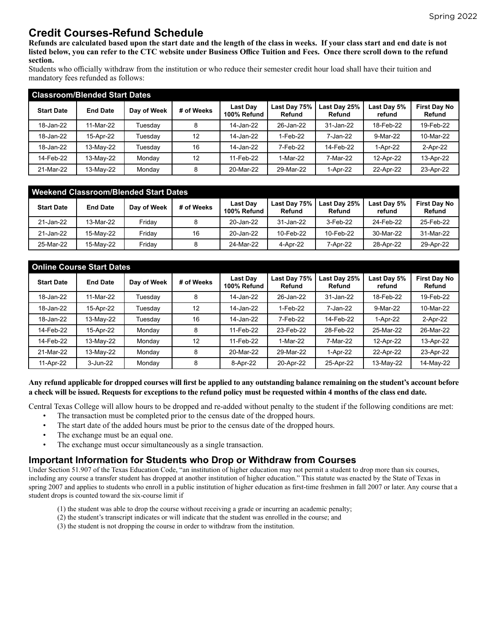### **Credit Courses-Refund Schedule**

**Refunds are calculated based upon the start date and the length of the class in weeks. If your class start and end date is not listed below, you can refer to the CTC website under Business Office Tuition and Fees. Once there scroll down to the refund section.**

Students who officially withdraw from the institution or who reduce their semester credit hour load shall have their tuition and mandatory fees refunded as follows:

| <b>Classroom/Blended Start Dates</b> |                 |             |            |                                |                        |                        |                       |                               |
|--------------------------------------|-----------------|-------------|------------|--------------------------------|------------------------|------------------------|-----------------------|-------------------------------|
| <b>Start Date</b>                    | <b>End Date</b> | Day of Week | # of Weeks | <b>Last Dav</b><br>100% Refund | Last Day 75%<br>Refund | Last Day 25%<br>Refund | Last Day 5%<br>refund | <b>First Day No</b><br>Refund |
| 18-Jan-22                            | 11-Mar-22       | Tuesdav     | 8          | 14-Jan-22                      | 26-Jan-22              | 31-Jan-22              | 18-Feb-22             | 19-Feb-22                     |
| 18-Jan-22                            | 15-Apr-22       | Tuesday     | 12         | 14-Jan-22                      | 1-Feb-22               | 7-Jan-22               | 9-Mar-22              | 10-Mar-22                     |
| 18-Jan-22                            | 13-May-22       | Tuesday     | 16         | 14-Jan-22                      | 7-Feb-22               | 14-Feb-22              | 1-Apr-22              | 2-Apr-22                      |
| 14-Feb-22                            | 13-May-22       | Mondav      | 12         | 11-Feb-22                      | 1-Mar-22               | 7-Mar-22               | 12-Apr-22             | 13-Apr-22                     |
| 21-Mar-22                            | 13-May-22       | Monday      | 8          | 20-Mar-22                      | 29-Mar-22              | 1-Apr-22               | 22-Apr-22             | 23-Apr-22                     |

| Weekend Classroom/Blended Start Dates |                 |             |            |                                |                        |                        |                       |                               |
|---------------------------------------|-----------------|-------------|------------|--------------------------------|------------------------|------------------------|-----------------------|-------------------------------|
| <b>Start Date</b>                     | <b>End Date</b> | Day of Week | # of Weeks | <b>Last Day</b><br>100% Refund | Last Day 75%<br>Refund | Last Day 25%<br>Refund | Last Day 5%<br>refund | <b>First Day No</b><br>Refund |
| 21-Jan-22                             | 13-Mar-22       | Fridav      |            | 20-Jan-22                      | 31-Jan-22              | 3-Feb-22               | 24-Feb-22             | 25-Feb-22                     |
| 21-Jan-22                             | 15-Mav-22       | Fridav      | 16         | 20-Jan-22                      | 10-Feb-22              | 10-Feb-22              | 30-Mar-22             | 31-Mar-22                     |
| 25-Mar-22                             | 15-May-22       | Friday      |            | 24-Mar-22                      | 4-Apr-22               | 7-Apr-22               | 28-Apr-22             | 29-Apr-22                     |

| <b>Online Course Start Dates</b> |                 |             |            |                         |                        |                        |                       |                               |
|----------------------------------|-----------------|-------------|------------|-------------------------|------------------------|------------------------|-----------------------|-------------------------------|
| <b>Start Date</b>                | <b>End Date</b> | Day of Week | # of Weeks | Last Day<br>100% Refund | Last Day 75%<br>Refund | Last Day 25%<br>Refund | Last Day 5%<br>refund | <b>First Day No</b><br>Refund |
| 18-Jan-22                        | 11-Mar-22       | Tuesday     | 8          | 14-Jan-22               | 26-Jan-22              | 31-Jan-22              | 18-Feb-22             | 19-Feb-22                     |
| 18-Jan-22                        | 15-Apr-22       | Tuesday     | 12         | 14-Jan-22               | 1-Feb-22               | 7-Jan-22               | 9-Mar-22              | 10-Mar-22                     |
| 18-Jan-22                        | 13-May-22       | Tuesday     | 16         | 14-Jan-22               | 7-Feb-22               | 14-Feb-22              | 1-Apr-22              | 2-Apr-22                      |
| 14-Feb-22                        | 15-Apr-22       | Monday      | 8          | 11-Feb-22               | 23-Feb-22              | 28-Feb-22              | 25-Mar-22             | 26-Mar-22                     |
| 14-Feb-22                        | 13-May-22       | Monday      | 12         | 11-Feb-22               | 1-Mar-22               | 7-Mar-22               | 12-Apr-22             | 13-Apr-22                     |
| 21-Mar-22                        | 13-May-22       | Monday      | 8          | 20-Mar-22               | 29-Mar-22              | 1-Apr-22               | 22-Apr-22             | 23-Apr-22                     |
| 11-Apr-22                        | 3-Jun-22        | Monday      | 8          | 8-Apr-22                | 20-Apr-22              | 25-Apr-22              | 13-May-22             | 14-May-22                     |

#### **Any refund applicable for dropped courses will first be applied to any outstanding balance remaining on the student's account before a check will be issued. Requests for exceptions to the refund policy must be requested within 4 months of the class end date.**

Central Texas College will allow hours to be dropped and re-added without penalty to the student if the following conditions are met:

- The transaction must be completed prior to the census date of the dropped hours.
- The start date of the added hours must be prior to the census date of the dropped hours.
- The exchange must be an equal one.
- The exchange must occur simultaneously as a single transaction.

### **Important Information for Students who Drop or Withdraw from Courses**

Under Section 51.907 of the Texas Education Code, "an institution of higher education may not permit a student to drop more than six courses, including any course a transfer student has dropped at another institution of higher education." This statute was enacted by the State of Texas in spring 2007 and applies to students who enroll in a public institution of higher education as first-time freshmen in fall 2007 or later. Any course that a student drops is counted toward the six-course limit if

- (1) the student was able to drop the course without receiving a grade or incurring an academic penalty;
- (2) the student's transcript indicates or will indicate that the student was enrolled in the course; and
- (3) the student is not dropping the course in order to withdraw from the institution.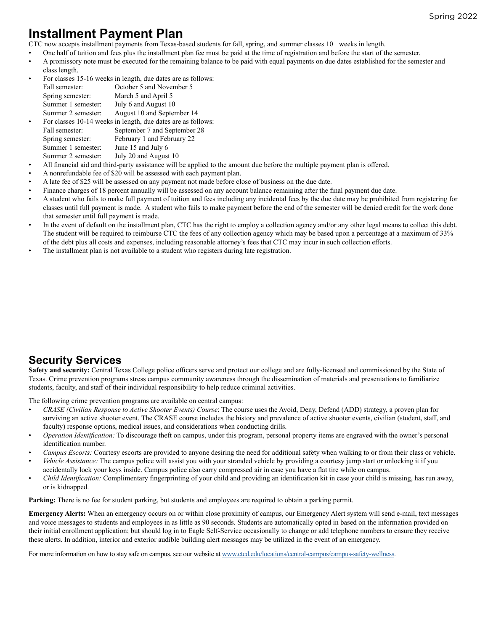# **Installment Payment Plan**

CTC now accepts installment payments from Texas-based students for fall, spring, and summer classes 10+ weeks in length.

- One half of tuition and fees plus the installment plan fee must be paid at the time of registration and before the start of the semester.
- A promissory note must be executed for the remaining balance to be paid with equal payments on due dates established for the semester and class length.

|                    | For classes 15-16 weeks in length, due dates are as follows: |
|--------------------|--------------------------------------------------------------|
| Fall semester:     | October 5 and November 5                                     |
| Spring semester:   | March 5 and April 5                                          |
| Summer 1 semester: | July 6 and August 10                                         |
| Summer 2 semester: | August 10 and September 14                                   |
|                    | For classes 10-14 weeks in length, due dates are as follows: |
| Fall semester:     | September 7 and September 28                                 |
| Spring semester:   | February 1 and February 22                                   |
| Summer 1 semester: | June 15 and July 6                                           |
| Summer 2 semester: | July 20 and August 10                                        |
|                    |                                                              |

- All financial aid and third-party assistance will be applied to the amount due before the multiple payment plan is offered.
- A nonrefundable fee of \$20 will be assessed with each payment plan.
- A late fee of \$25 will be assessed on any payment not made before close of business on the due date.
- Finance charges of 18 percent annually will be assessed on any account balance remaining after the final payment due date.
- A student who fails to make full payment of tuition and fees including any incidental fees by the due date may be prohibited from registering for classes until full payment is made. A student who fails to make payment before the end of the semester will be denied credit for the work done that semester until full payment is made.
- In the event of default on the installment plan, CTC has the right to employ a collection agency and/or any other legal means to collect this debt. The student will be required to reimburse CTC the fees of any collection agency which may be based upon a percentage at a maximum of 33% of the debt plus all costs and expenses, including reasonable attorney's fees that CTC may incur in such collection efforts.
- The installment plan is not available to a student who registers during late registration.

### **Security Services**

**Safety and security:** Central Texas College police officers serve and protect our college and are fully-licensed and commissioned by the State of Texas. Crime prevention programs stress campus community awareness through the dissemination of materials and presentations to familiarize students, faculty, and staff of their individual responsibility to help reduce criminal activities.

The following crime prevention programs are available on central campus:

- *CRASE (Civilian Response to Active Shooter Events) Course*: The course uses the Avoid, Deny, Defend (ADD) strategy, a proven plan for surviving an active shooter event. The CRASE course includes the history and prevalence of active shooter events, civilian (student, staff, and faculty) response options, medical issues, and considerations when conducting drills.
- *Operation Identification:* To discourage theft on campus, under this program, personal property items are engraved with the owner's personal identification number.
- *Campus Escorts:* Courtesy escorts are provided to anyone desiring the need for additional safety when walking to or from their class or vehicle.
- *Vehicle Assistance:* The campus police will assist you with your stranded vehicle by providing a courtesy jump start or unlocking it if you accidentally lock your keys inside. Campus police also carry compressed air in case you have a flat tire while on campus.
- *Child Identification:* Complimentary fingerprinting of your child and providing an identification kit in case your child is missing, has run away, or is kidnapped.

Parking: There is no fee for student parking, but students and employees are required to obtain a parking permit.

**Emergency Alerts:** When an emergency occurs on or within close proximity of campus, our Emergency Alert system will send e-mail, text messages and voice messages to students and employees in as little as 90 seconds. Students are automatically opted in based on the information provided on their initial enrollment application; but should log in to Eagle Self-Service occasionally to change or add telephone numbers to ensure they receive these alerts. In addition, interior and exterior audible building alert messages may be utilized in the event of an emergency.

For more information on how to stay safe on campus, see our website at [www.ctcd.edu/locations/central-campus/campus-safety-wellness.](http://www.ctcd.edu/locations/central-campus/campus-safety-wellness)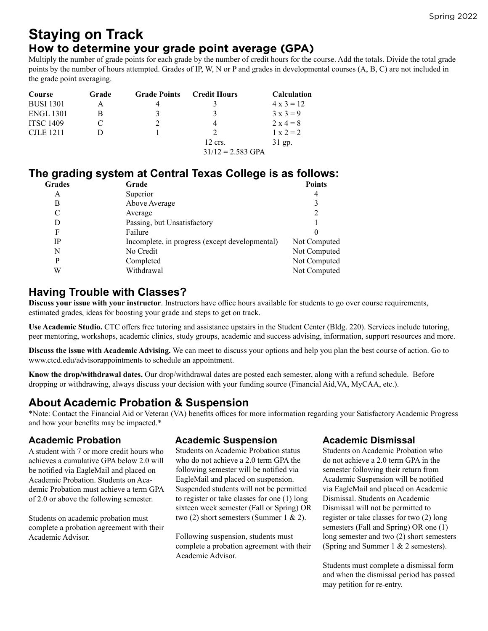#### Spring 2022

# **Staying on Track**

### **How to determine your grade point average (GPA)**

Multiply the number of grade points for each grade by the number of credit hours for the course. Add the totals. Divide the total grade points by the number of hours attempted. Grades of IP, W, N or P and grades in developmental courses (A, B, C) are not included in the grade point averaging.

| Course           | Grade | <b>Grade Points</b> | <b>Credit Hours</b> | <b>Calculation</b> |
|------------------|-------|---------------------|---------------------|--------------------|
| <b>BUSI 1301</b> |       |                     |                     | $4 \times 3 = 12$  |
| <b>ENGL 1301</b> |       | 3                   |                     | $3x3=9$            |
| <b>ITSC 1409</b> |       |                     |                     | $2 \times 4 = 8$   |
| C.ILE 1211       |       |                     |                     | $1 \times 2 = 2$   |
|                  |       |                     | $12$ crs.           | $31$ gp.           |
|                  |       |                     | $31/12 = 2.583$ GPA |                    |

### **The grading system at Central Texas College is as follows:**

| <b>Grades</b> | Grade                                          | <b>Points</b> |
|---------------|------------------------------------------------|---------------|
| А             | Superior                                       |               |
| В             | Above Average                                  |               |
| C             | Average                                        |               |
| D             | Passing, but Unsatisfactory                    |               |
| F             | Failure                                        |               |
| <b>IP</b>     | Incomplete, in progress (except developmental) | Not Computed  |
| N             | No Credit                                      | Not Computed  |
| P             | Completed                                      | Not Computed  |
| W             | Withdrawal                                     | Not Computed  |
|               |                                                |               |

### **Having Trouble with Classes?**

**Discuss your issue with your instructor**. Instructors have office hours available for students to go over course requirements, estimated grades, ideas for boosting your grade and steps to get on track.

**Use Academic Studio.** CTC offers free tutoring and assistance upstairs in the Student Center (Bldg. 220). Services include tutoring, peer mentoring, workshops, academic clinics, study groups, academic and success advising, information, support resources and more.

**Discuss the issue with Academic Advising.** We can meet to discuss your options and help you plan the best course of action. Go to www.ctcd.edu/advisorappointments to schedule an appointment.

**Know the drop/withdrawal dates.** Our drop/withdrawal dates are posted each semester, along with a refund schedule. Before dropping or withdrawing, always discuss your decision with your funding source (Financial Aid,VA, MyCAA, etc.).

### **About Academic Probation & Suspension**

\*Note: Contact the Financial Aid or Veteran (VA) benefits offices for more information regarding your Satisfactory Academic Progress and how your benefits may be impacted.\*

A student with 7 or more credit hours who achieves a cumulative GPA below 2.0 will be notified via EagleMail and placed on Academic Probation. Students on Academic Probation must achieve a term GPA of 2.0 or above the following semester.

Students on academic probation must complete a probation agreement with their Academic Advisor.

### **Academic Probation Academic Suspension Academic Dismissal**

Students on Academic Probation status who do not achieve a 2.0 term GPA the following semester will be notified via EagleMail and placed on suspension. Suspended students will not be permitted to register or take classes for one (1) long sixteen week semester (Fall or Spring) OR two  $(2)$  short semesters (Summer 1 & 2).

Following suspension, students must complete a probation agreement with their Academic Advisor.

Students on Academic Probation who do not achieve a 2.0 term GPA in the semester following their return from Academic Suspension will be notified via EagleMail and placed on Academic Dismissal. Students on Academic Dismissal will not be permitted to register or take classes for two (2) long semesters (Fall and Spring) OR one (1) long semester and two (2) short semesters (Spring and Summer 1 & 2 semesters).

Students must complete a dismissal form and when the dismissal period has passed may petition for re-entry.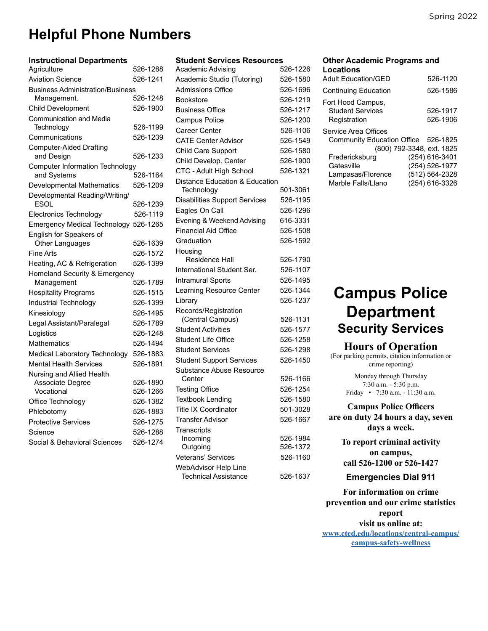# **Helpful Phone Numbers**

| <b>Instructional Departments</b>             |          |
|----------------------------------------------|----------|
| Agriculture                                  | 526-1288 |
| <b>Aviation Science</b>                      | 526-1241 |
| <b>Business Administration/Business</b>      |          |
| Management.                                  | 526-1248 |
| <b>Child Development</b>                     | 526-1900 |
| Communication and Media                      |          |
| Technology                                   | 526-1199 |
| Communications                               | 526-1239 |
| <b>Computer-Aided Drafting</b><br>and Design | 526-1233 |
| <b>Computer Information Technology</b>       |          |
| and Systems                                  | 526-1164 |
| <b>Developmental Mathematics</b>             | 526-1209 |
| Developmental Reading/Writing/               |          |
| <b>ESOL</b>                                  | 526-1239 |
| <b>Electronics Technology</b>                | 526-1119 |
| Emergency Medical Technology 526-1265        |          |
| English for Speakers of                      |          |
| Other Languages                              | 526-1639 |
| Fine Arts                                    | 526-1572 |
| Heating, AC & Refrigeration                  | 526-1399 |
| Homeland Security & Emergency                |          |
| Management                                   | 526-1789 |
| <b>Hospitality Programs</b>                  | 526-1515 |
| <b>Industrial Technology</b>                 | 526-1399 |
| Kinesiology                                  | 526-1495 |
| Legal Assistant/Paralegal                    | 526-1789 |
| Logistics                                    | 526-1248 |
| Mathematics                                  | 526-1494 |
| Medical Laboratory Technology                | 526-1883 |
| <b>Mental Health Services</b>                | 526-1891 |
| Nursing and Allied Health                    |          |
| Associate Degree                             | 526-1890 |
| Vocational                                   | 526-1266 |
| Office Technology                            | 526-1382 |
| Phlebotomy                                   | 526-1883 |
| <b>Protective Services</b>                   | 526-1275 |
| Science                                      | 526-1288 |
| Social & Behavioral Sciences                 | 526-1274 |

| <b>Student Services Resources</b>                   |          |
|-----------------------------------------------------|----------|
| Academic Advising                                   | 526-1226 |
| Academic Studio (Tutoring)                          | 526-1580 |
| <b>Admissions Office</b>                            | 526-1696 |
| <b>Bookstore</b>                                    | 526-1219 |
| <b>Business Office</b>                              | 526-1217 |
| Campus Police                                       | 526-1200 |
| Career Center                                       | 526-1106 |
| <b>CATF Center Advisor</b>                          | 526-1549 |
| Child Care Support                                  | 526-1580 |
| Child Develop. Center                               | 526-1900 |
| CTC - Adult High School                             | 526-1321 |
| Distance Education & Education                      |          |
| Technology                                          | 501-3061 |
| <b>Disabilities Support Services</b>                | 526-1195 |
| Eagles On Call                                      | 526-1296 |
| Evening & Weekend Advising                          | 616-3331 |
| <b>Financial Aid Office</b>                         | 526-1508 |
| Graduation                                          | 526-1592 |
| Housing                                             |          |
| Residence Hall                                      | 526-1790 |
| International Student Ser.                          | 526-1107 |
| <b>Intramural Sports</b>                            | 526-1495 |
| Learning Resource Center                            | 526-1344 |
| Library                                             | 526-1237 |
| Records/Registration                                |          |
| (Central Campus)                                    | 526-1131 |
| <b>Student Activities</b>                           | 526-1577 |
| <b>Student Life Office</b>                          | 526-1258 |
| <b>Student Services</b>                             | 526-1298 |
| <b>Student Support Services</b>                     | 526-1450 |
| Substance Abuse Resource                            |          |
| Center                                              | 526-1166 |
| <b>Testing Office</b>                               | 526-1254 |
| <b>Textbook Lending</b>                             | 526-1580 |
| <b>Title IX Coordinator</b>                         | 501-3028 |
| <b>Transfer Advisor</b>                             | 526-1667 |
| <b>Transcripts</b>                                  |          |
| Incoming                                            | 526-1984 |
| Outgoing                                            | 526-1372 |
| Veterans' Services                                  | 526-1160 |
| WebAdvisor Help Line<br><b>Technical Assistance</b> | 526-1637 |
|                                                     |          |

#### **Other Academic Programs and Locations**

| <b>Adult Fducation/GFD</b>                                                               |                                                                      | 526-1120             |
|------------------------------------------------------------------------------------------|----------------------------------------------------------------------|----------------------|
| <b>Continuing Education</b>                                                              |                                                                      | 526-1586             |
| Fort Hood Campus,<br><b>Student Services</b><br>Registration                             |                                                                      | 526-1917<br>526-1906 |
| Service Area Offices<br>Community Education Office 526-1825<br>(800) 792-3348, ext. 1825 |                                                                      |                      |
| Fredericksburg<br>Gatesville<br>Lampasas/Florence<br>Marble Falls/Llano                  | (254) 616-3401<br>(254) 526-1977<br>(512) 564-2328<br>(254) 616-3326 |                      |
|                                                                                          |                                                                      |                      |

# **Campus Police Department Security Services**

#### **Hours of Operation**

(For parking permits, citation information or crime reporting)

> Monday through Thursday 7:30 a.m. - 5:30 p.m. Friday • 7:30 a.m. - 11:30 a.m.

**Campus Police Officers are on duty 24 hours a day, seven days a week.**

> **To report criminal activity on campus, call 526-1200 or 526-1427**

**Emergencies Dial 911**

**For information on crime prevention and our crime statistics report visit us online at: [www.ctcd.edu/locations/central-campus/](http://www.ctcd.edu/locations/central-campus/campus-safety-wellness) [campus-safety-wellness](http://www.ctcd.edu/locations/central-campus/campus-safety-wellness)**